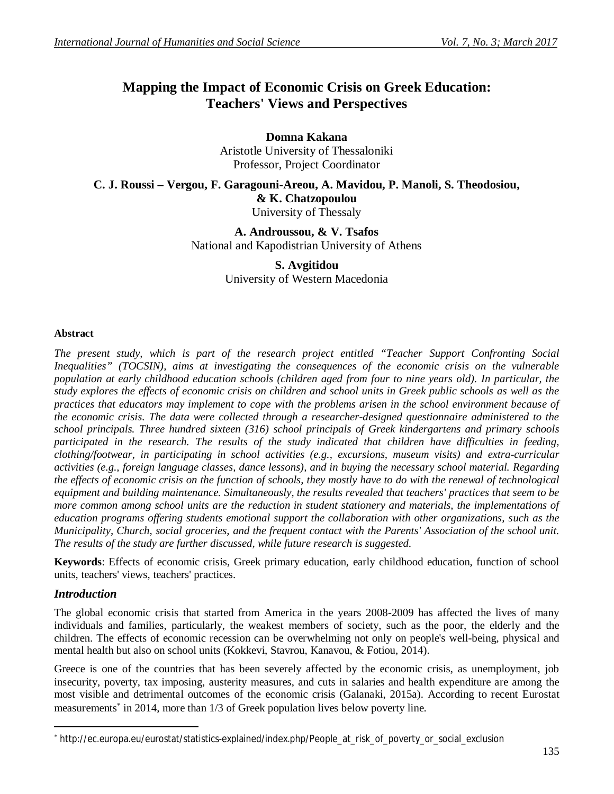# **Mapping the Impact of Economic Crisis on Greek Education: Teachers' Views and Perspectives**

**Domna Kakana** Aristotle University of Thessaloniki Professor, Project Coordinator

**C. J. Roussi – Vergou, F. Garagouni-Areou, A. Mavidou, P. Manoli, S. Theodosiou, & K. Chatzopoulou** University of Thessaly

> **A. Androussou, & V. Tsafos** National and Kapodistrian University of Athens

## **S. Avgitidou**

University of Western Macedonia

## **Abstract**

*The present study, which is part of the research project entitled "Teacher Support Confronting Social Inequalities" (TOCSIN), aims at investigating the consequences of the economic crisis on the vulnerable population at early childhood education schools (children aged from four to nine years old). In particular, the study explores the effects of economic crisis on children and school units in Greek public schools as well as the practices that educators may implement to cope with the problems arisen in the school environment because of the economic crisis. The data were collected through a researcher-designed questionnaire administered to the school principals. Three hundred sixteen (316) school principals of Greek kindergartens and primary schools*  participated in the research. The results of the study indicated that children have difficulties in feeding, *clothing/footwear, in participating in school activities (e.g., excursions, museum visits) and extra-curricular activities (e.g., foreign language classes, dance lessons), and in buying the necessary school material. Regarding the effects of economic crisis on the function of schools, they mostly have to do with the renewal of technological equipment and building maintenance. Simultaneously, the results revealed that teachers' practices that seem to be more common among school units are the reduction in student stationery and materials, the implementations of education programs offering students emotional support the collaboration with other organizations, such as the Municipality, Church, social groceries, and the frequent contact with the Parents' Association of the school unit. The results of the study are further discussed, while future research is suggested.*

**Keywords**: Effects of economic crisis, Greek primary education, early childhood education, function of school units, teachers' views, teachers' practices.

## *Introduction*

 $\overline{a}$ 

The global economic crisis that started from America in the years 2008-2009 has affected the lives of many individuals and families, particularly, the weakest members of society, such as the poor, the elderly and the children. The effects of economic recession can be overwhelming not only on people's well-being, physical and mental health but also on school units (Kokkevi, Stavrou, Kanavou, & Fotiou, 2014).

Greece is one of the countries that has been severely affected by the economic crisis, as unemployment, job insecurity, poverty, tax imposing, austerity measures, and cuts in salaries and health expenditure are among the most visible and detrimental outcomes of the economic crisis (Galanaki, 2015a). According to recent Eurostat measurements<sup>\*</sup> in 2014, more than 1/3 of Greek population lives below poverty line.

http://ec.europa.eu/eurostat/statistics-explained/index.php/People\_at\_risk\_of\_poverty\_or\_social\_exclusion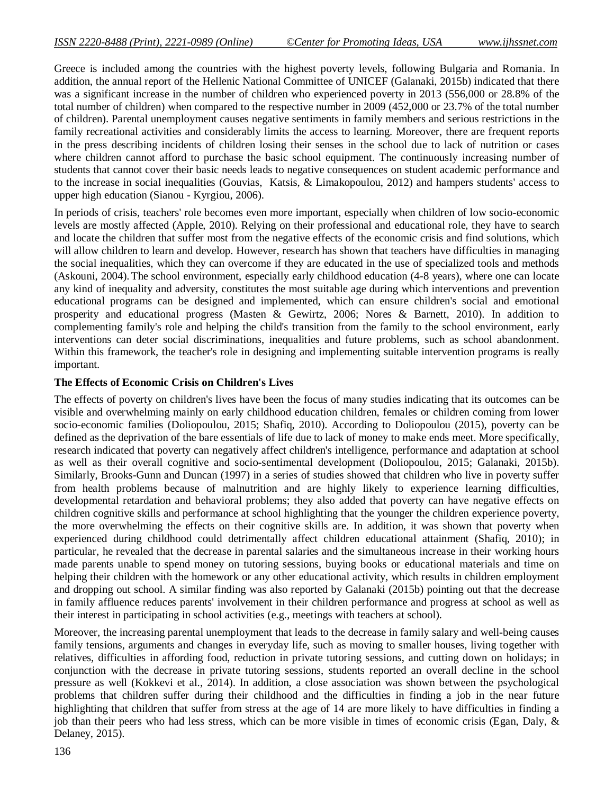Greece is included among the countries with the highest poverty levels, following Bulgaria and Romania. In addition, the annual report of the Hellenic National Committee of UNICEF (Galanaki, 2015b) indicated that there was a significant increase in the number of children who experienced poverty in 2013 (556,000 or 28.8% of the total number of children) when compared to the respective number in 2009 (452,000 or 23.7% of the total number of children). Parental unemployment causes negative sentiments in family members and serious restrictions in the family recreational activities and considerably limits the access to learning. Moreover, there are frequent reports in the press describing incidents of children losing their senses in the school due to lack of nutrition or cases where children cannot afford to purchase the basic school equipment. The continuously increasing number of students that cannot cover their basic needs leads to negative consequences on student academic performance and to the increase in social inequalities (Gouvias, Katsis, & Limakopoulou, 2012) and hampers students' access to upper high education (Sianou - Kyrgiou, 2006).

In periods of crisis, teachers' role becomes even more important, especially when children of low socio-economic levels are mostly affected (Apple, 2010). Relying on their professional and educational role, they have to search and locate the children that suffer most from the negative effects of the economic crisis and find solutions, which will allow children to learn and develop. However, research has shown that teachers have difficulties in managing the social inequalities, which they can overcome if they are educated in the use of specialized tools and methods (Askouni, 2004).The school environment, especially early childhood education (4-8 years), where one can locate any kind of inequality and adversity, constitutes the most suitable age during which interventions and prevention educational programs can be designed and implemented, which can ensure children's social and emotional prosperity and educational progress (Masten & Gewirtz, 2006; Nores & Barnett, 2010). In addition to complementing family's role and helping the child's transition from the family to the school environment, early interventions can deter social discriminations, inequalities and future problems, such as school abandonment. Within this framework, the teacher's role in designing and implementing suitable intervention programs is really important.

#### **The Effects of Economic Crisis on Children's Lives**

The effects of poverty on children's lives have been the focus of many studies indicating that its outcomes can be visible and overwhelming mainly on early childhood education children, females or children coming from lower socio-economic families (Doliopoulou, 2015; Shafiq, 2010). According to Doliopoulou (2015), poverty can be defined as the deprivation of the bare essentials of life due to lack of money to make ends meet. More specifically, research indicated that poverty can negatively affect children's intelligence, performance and adaptation at school as well as their overall cognitive and socio-sentimental development (Doliopoulou, 2015; Galanaki, 2015b). Similarly, Brooks-Gunn and Duncan (1997) in a series of studies showed that children who live in poverty suffer from health problems because of malnutrition and are highly likely to experience learning difficulties, developmental retardation and behavioral problems; they also added that poverty can have negative effects on children cognitive skills and performance at school highlighting that the younger the children experience poverty, the more overwhelming the effects on their cognitive skills are. In addition, it was shown that poverty when experienced during childhood could detrimentally affect children educational attainment (Shafiq, 2010); in particular, he revealed that the decrease in parental salaries and the simultaneous increase in their working hours made parents unable to spend money on tutoring sessions, buying books or educational materials and time on helping their children with the homework or any other educational activity, which results in children employment and dropping out school. A similar finding was also reported by Galanaki (2015b) pointing out that the decrease in family affluence reduces parents' involvement in their children performance and progress at school as well as their interest in participating in school activities (e.g., meetings with teachers at school).

Moreover, the increasing parental unemployment that leads to the decrease in family salary and well-being causes family tensions, arguments and changes in everyday life, such as moving to smaller houses, living together with relatives, difficulties in affording food, reduction in private tutoring sessions, and cutting down on holidays; in conjunction with the decrease in private tutoring sessions, students reported an overall decline in the school pressure as well (Kokkevi et al., 2014). In addition, a close association was shown between the psychological problems that children suffer during their childhood and the difficulties in finding a job in the near future highlighting that children that suffer from stress at the age of 14 are more likely to have difficulties in finding a job than their peers who had less stress, which can be more visible in times of economic crisis (Egan, Daly, & Delaney, 2015).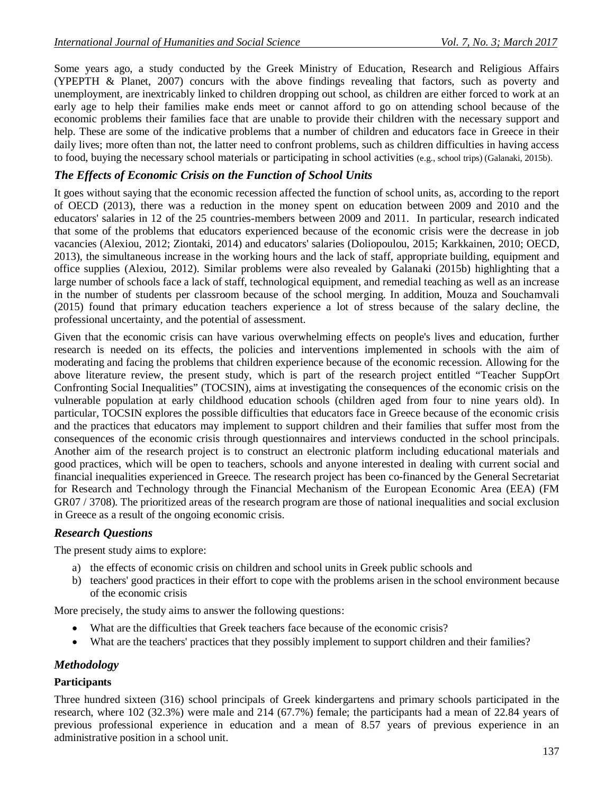Some years ago, a study conducted by the Greek Ministry of Education, Research and Religious Affairs (YPEPTH & Planet, 2007) concurs with the above findings revealing that factors, such as poverty and unemployment, are inextricably linked to children dropping out school, as children are either forced to work at an early age to help their families make ends meet or cannot afford to go on attending school because of the economic problems their families face that are unable to provide their children with the necessary support and help. These are some of the indicative problems that a number of children and educators face in Greece in their daily lives; more often than not, the latter need to confront problems, such as children difficulties in having access to food, buying the necessary school materials or participating in school activities (e.g., school trips) (Galanaki, 2015b).

# *The Effects of Economic Crisis on the Function of School Units*

It goes without saying that the economic recession affected the function of school units, as, according to the report of OECD (2013), there was a reduction in the money spent on education between 2009 and 2010 and the educators' salaries in 12 of the 25 countries-members between 2009 and 2011. In particular, research indicated that some of the problems that educators experienced because of the economic crisis were the decrease in job vacancies (Alexiou, 2012; Ziontaki, 2014) and educators' salaries (Doliopoulou, 2015; Karkkainen, 2010; OECD, 2013), the simultaneous increase in the working hours and the lack of staff, appropriate building, equipment and office supplies (Alexiou, 2012). Similar problems were also revealed by Galanaki (2015b) highlighting that a large number of schools face a lack of staff, technological equipment, and remedial teaching as well as an increase in the number of students per classroom because of the school merging. In addition, Mouza and Souchamvali (2015) found that primary education teachers experience a lot of stress because of the salary decline, the professional uncertainty, and the potential of assessment.

Given that the economic crisis can have various overwhelming effects on people's lives and education, further research is needed on its effects, the policies and interventions implemented in schools with the aim of moderating and facing the problems that children experience because of the economic recession. Allowing for the above literature review, the present study, which is part of the research project entitled "Teacher SuppOrt Confronting Social Inequalities" (TOCSIN), aims at investigating the consequences of the economic crisis on the vulnerable population at early childhood education schools (children aged from four to nine years old). In particular, TOCSIN explores the possible difficulties that educators face in Greece because of the economic crisis and the practices that educators may implement to support children and their families that suffer most from the consequences of the economic crisis through questionnaires and interviews conducted in the school principals. Another aim of the research project is to construct an electronic platform including educational materials and good practices, which will be open to teachers, schools and anyone interested in dealing with current social and financial inequalities experienced in Greece. The research project has been co-financed by the General Secretariat for Research and Technology through the Financial Mechanism of the European Economic Area (EEA) (FM GR07 / 3708). The prioritized areas of the research program are those of national inequalities and social exclusion in Greece as a result of the ongoing economic crisis.

# *Research Questions*

The present study aims to explore:

- a) the effects of economic crisis on children and school units in Greek public schools and
- b) teachers' good practices in their effort to cope with the problems arisen in the school environment because of the economic crisis

More precisely, the study aims to answer the following questions:

- What are the difficulties that Greek teachers face because of the economic crisis?
- What are the teachers' practices that they possibly implement to support children and their families?

# *Methodology*

## **Participants**

Three hundred sixteen (316) school principals of Greek kindergartens and primary schools participated in the research, where 102 (32.3%) were male and 214 (67.7%) female; the participants had a mean of 22.84 years of previous professional experience in education and a mean of 8.57 years of previous experience in an administrative position in a school unit.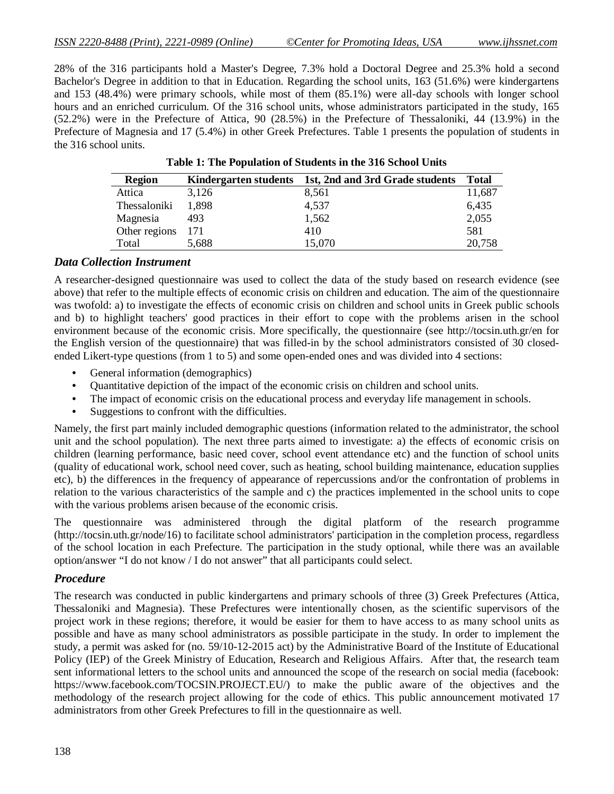28% of the 316 participants hold a Master's Degree, 7.3% hold a Doctoral Degree and 25.3% hold a second Bachelor's Degree in addition to that in Education. Regarding the school units, 163 (51.6%) were kindergartens and 153 (48.4%) were primary schools, while most of them (85.1%) were all-day schools with longer school hours and an enriched curriculum. Of the 316 school units, whose administrators participated in the study, 165 (52.2%) were in the Prefecture of Attica, 90 (28.5%) in the Prefecture of Thessaloniki, 44 (13.9%) in the Prefecture of Magnesia and 17 (5.4%) in other Greek Prefectures. Table 1 presents the population of students in the 316 school units.

| <b>Region</b> | <b>Kindergarten students</b> | 1st, 2nd and 3rd Grade students | Total  |
|---------------|------------------------------|---------------------------------|--------|
| Attica        | 3,126                        | 8,561                           | 11,687 |
| Thessaloniki  | 1.898                        | 4,537                           | 6,435  |
| Magnesia      | 493                          | 1,562                           | 2,055  |
| Other regions | 171                          | 410                             | 581    |
| Total         | 5,688                        | 15,070                          | 20,758 |

**Table 1: The Population of Students in the 316 School Units**

#### *Data Collection Instrument*

A researcher-designed questionnaire was used to collect the data of the study based on research evidence (see above) that refer to the multiple effects of economic crisis on children and education. The aim of the questionnaire was twofold: a) to investigate the effects of economic crisis on children and school units in Greek public schools and b) to highlight teachers' good practices in their effort to cope with the problems arisen in the school environment because of the economic crisis. More specifically, the questionnaire (see http://tocsin.uth.gr/en for the English version of the questionnaire) that was filled-in by the school administrators consisted of 30 closedended Likert-type questions (from 1 to 5) and some open-ended ones and was divided into 4 sections:

- General information (demographics)
- Quantitative depiction of the impact of the economic crisis on children and school units.
- The impact of economic crisis on the educational process and everyday life management in schools.
- Suggestions to confront with the difficulties.

Namely, the first part mainly included demographic questions (information related to the administrator, the school unit and the school population). The next three parts aimed to investigate: a) the effects of economic crisis on children (learning performance, basic need cover, school event attendance etc) and the function of school units (quality of educational work, school need cover, such as heating, school building maintenance, education supplies etc), b) the differences in the frequency of appearance of repercussions and/or the confrontation of problems in relation to the various characteristics of the sample and c) the practices implemented in the school units to cope with the various problems arisen because of the economic crisis.

The questionnaire was administered through the digital platform of the research programme (http://tocsin.uth.gr/node/16) to facilitate school administrators' participation in the completion process, regardless of the school location in each Prefecture. The participation in the study optional, while there was an available option/answer "I do not know / I do not answer" that all participants could select.

## *Procedure*

The research was conducted in public kindergartens and primary schools of three (3) Greek Prefectures (Attica, Thessaloniki and Magnesia). These Prefectures were intentionally chosen, as the scientific supervisors of the project work in these regions; therefore, it would be easier for them to have access to as many school units as possible and have as many school administrators as possible participate in the study. In order to implement the study, a permit was asked for (no. 59/10-12-2015 act) by the Administrative Board of the Institute of Educational Policy (IEP) of the Greek Ministry of Education, Research and Religious Affairs. After that, the research team sent informational letters to the school units and announced the scope of the research on social media (facebook: https://www.facebook.com/TOCSIN.PROJECT.EU/) to make the public aware of the objectives and the methodology of the research project allowing for the code of ethics. This public announcement motivated 17 administrators from other Greek Prefectures to fill in the questionnaire as well.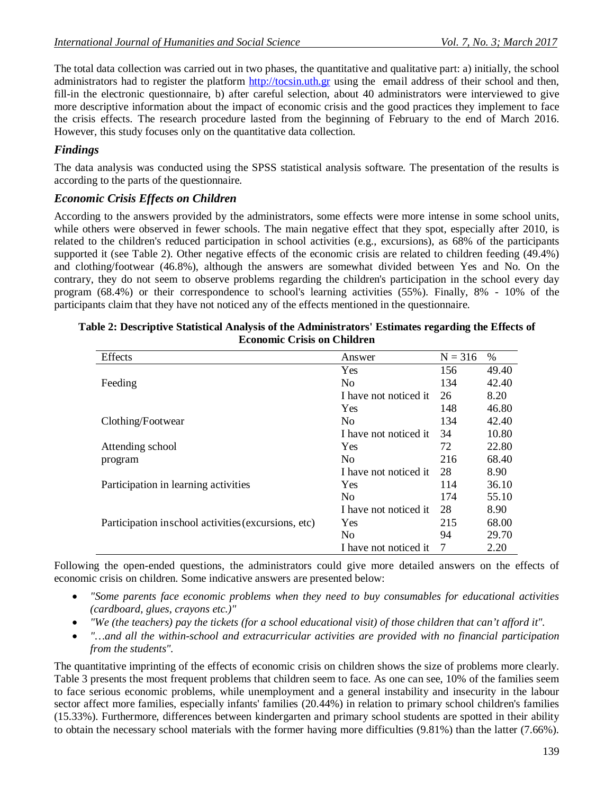The total data collection was carried out in two phases, the quantitative and qualitative part: a) initially, the school administrators had to register the platform http://tocsin.uth.gr using the email address of their school and then, fill-in the electronic questionnaire, b) after careful selection, about 40 administrators were interviewed to give more descriptive information about the impact of economic crisis and the good practices they implement to face the crisis effects. The research procedure lasted from the beginning of February to the end of March 2016. However, this study focuses only on the quantitative data collection.

# *Findings*

The data analysis was conducted using the SPSS statistical analysis software. The presentation of the results is according to the parts of the questionnaire.

# *Economic Crisis Effects on Children*

According to the answers provided by the administrators, some effects were more intense in some school units, while others were observed in fewer schools. The main negative effect that they spot, especially after 2010, is related to the children's reduced participation in school activities (e.g., excursions), as 68% of the participants supported it (see Table 2). Other negative effects of the economic crisis are related to children feeding (49.4%) and clothing/footwear (46.8%), although the answers are somewhat divided between Yes and No. On the contrary, they do not seem to observe problems regarding the children's participation in the school every day program (68.4%) or their correspondence to school's learning activities (55%). Finally, 8% - 10% of the participants claim that they have not noticed any of the effects mentioned in the questionnaire.

| Effects                                             | Answer                | $N = 316$ | %     |
|-----------------------------------------------------|-----------------------|-----------|-------|
|                                                     | <b>Yes</b>            | 156       | 49.40 |
| Feeding                                             | N <sub>0</sub>        | 134       | 42.40 |
|                                                     | I have not noticed it | 26        | 8.20  |
|                                                     | <b>Yes</b>            | 148       | 46.80 |
| Clothing/Footwear                                   | N <sub>0</sub>        | 134       | 42.40 |
|                                                     | I have not noticed it | 34        | 10.80 |
| Attending school                                    | <b>Yes</b>            | 72        | 22.80 |
| program                                             | N <sub>0</sub>        | 216       | 68.40 |
|                                                     | I have not noticed it | 28        | 8.90  |
| Participation in learning activities                | <b>Yes</b>            | 114       | 36.10 |
|                                                     | N <sub>0</sub>        | 174       | 55.10 |
|                                                     | I have not noticed it | 28        | 8.90  |
| Participation inschool activities (excursions, etc) | Yes.                  | 215       | 68.00 |
|                                                     | N <sub>0</sub>        | 94        | 29.70 |
|                                                     | I have not noticed it | 7         | 2.20  |

#### **Table 2: Descriptive Statistical Analysis of the Administrators' Estimates regarding the Effects of Economic Crisis on Children**

Following the open-ended questions, the administrators could give more detailed answers on the effects of economic crisis on children. Some indicative answers are presented below:

- *"Some parents face economic problems when they need to buy consumables for educational activities (cardboard, glues, crayons etc.)"*
- *"We (the teachers) pay the tickets (for a school educational visit) of those children that can't afford it".*
- *"…and all the within-school and extracurricular activities are provided with no financial participation from the students".*

The quantitative imprinting of the effects of economic crisis on children shows the size of problems more clearly. Table 3 presents the most frequent problems that children seem to face. As one can see, 10% of the families seem to face serious economic problems, while unemployment and a general instability and insecurity in the labour sector affect more families, especially infants' families (20.44%) in relation to primary school children's families (15.33%). Furthermore, differences between kindergarten and primary school students are spotted in their ability to obtain the necessary school materials with the former having more difficulties (9.81%) than the latter (7.66%).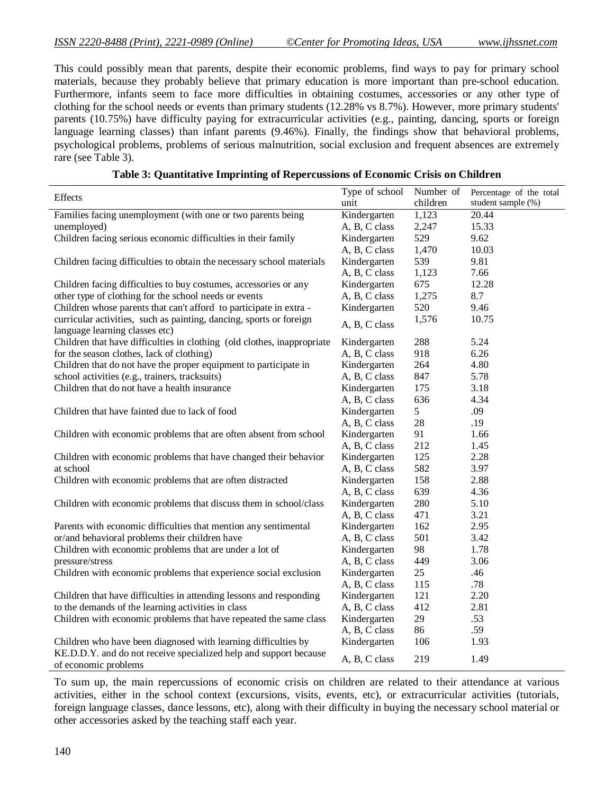This could possibly mean that parents, despite their economic problems, find ways to pay for primary school materials, because they probably believe that primary education is more important than pre-school education. Furthermore, infants seem to face more difficulties in obtaining costumes, accessories or any other type of clothing for the school needs or events than primary students (12.28% vs 8.7%). However, more primary students' parents (10.75%) have difficulty paying for extracurricular activities (e.g., painting, dancing, sports or foreign language learning classes) than infant parents (9.46%). Finally, the findings show that behavioral problems, psychological problems, problems of serious malnutrition, social exclusion and frequent absences are extremely rare (see Table 3).

|  |  | Table 3: Quantitative Imprinting of Repercussions of Economic Crisis on Children |
|--|--|----------------------------------------------------------------------------------|
|  |  |                                                                                  |

| Effects                                                                                               | Type of school | Number of | Percentage of the total |
|-------------------------------------------------------------------------------------------------------|----------------|-----------|-------------------------|
|                                                                                                       | unit           | children  | student sample (%)      |
| Families facing unemployment (with one or two parents being                                           | Kindergarten   | 1,123     | 20.44                   |
| unemployed)                                                                                           | A, B, C class  | 2,247     | 15.33                   |
| Children facing serious economic difficulties in their family                                         | Kindergarten   | 529       | 9.62                    |
|                                                                                                       | A, B, C class  | 1,470     | 10.03                   |
| Children facing difficulties to obtain the necessary school materials                                 | Kindergarten   | 539       | 9.81                    |
|                                                                                                       | A, B, C class  | 1,123     | 7.66                    |
| Children facing difficulties to buy costumes, accessories or any                                      | Kindergarten   | 675       | 12.28                   |
| other type of clothing for the school needs or events                                                 | A, B, C class  | 1,275     | 8.7                     |
| Children whose parents that can't afford to participate in extra -                                    | Kindergarten   | 520       | 9.46                    |
| curricular activities, such as painting, dancing, sports or foreign<br>language learning classes etc) | A, B, C class  | 1,576     | 10.75                   |
| Children that have difficulties in clothing (old clothes, inappropriate                               | Kindergarten   | 288       | 5.24                    |
| for the season clothes, lack of clothing)                                                             | A, B, C class  | 918       | 6.26                    |
| Children that do not have the proper equipment to participate in                                      | Kindergarten   | 264       | 4.80                    |
| school activities (e.g., trainers, tracksuits)                                                        | A, B, C class  | 847       | 5.78                    |
| Children that do not have a health insurance                                                          | Kindergarten   | 175       | 3.18                    |
|                                                                                                       | A, B, C class  | 636       | 4.34                    |
| Children that have fainted due to lack of food                                                        | Kindergarten   | 5         | .09                     |
|                                                                                                       | A, B, C class  | 28        | .19                     |
| Children with economic problems that are often absent from school                                     | Kindergarten   | 91        | 1.66                    |
|                                                                                                       | A, B, C class  | 212       | 1.45                    |
| Children with economic problems that have changed their behavior                                      | Kindergarten   | 125       | 2.28                    |
| at school                                                                                             | A, B, C class  | 582       | 3.97                    |
| Children with economic problems that are often distracted                                             | Kindergarten   | 158       | 2.88                    |
|                                                                                                       | A, B, C class  | 639       | 4.36                    |
| Children with economic problems that discuss them in school/class                                     | Kindergarten   | 280       | 5.10                    |
|                                                                                                       | A, B, C class  | 471       | 3.21                    |
| Parents with economic difficulties that mention any sentimental                                       | Kindergarten   | 162       | 2.95                    |
| or/and behavioral problems their children have                                                        | A, B, C class  | 501       | 3.42                    |
| Children with economic problems that are under a lot of                                               | Kindergarten   | 98        | 1.78                    |
| pressure/stress                                                                                       | A, B, C class  | 449       | 3.06                    |
| Children with economic problems that experience social exclusion                                      | Kindergarten   | 25        | .46                     |
|                                                                                                       | A, B, C class  | 115       | .78                     |
| Children that have difficulties in attending lessons and responding                                   | Kindergarten   | 121       | 2.20                    |
| to the demands of the learning activities in class                                                    | A, B, C class  | 412       | 2.81                    |
| Children with economic problems that have repeated the same class                                     | Kindergarten   | 29        | .53                     |
|                                                                                                       | A, B, C class  | 86        | .59                     |
| Children who have been diagnosed with learning difficulties by                                        | Kindergarten   | 106       | 1.93                    |
| KE.D.D.Y. and do not receive specialized help and support because<br>of economic problems             | A, B, C class  | 219       | 1.49                    |

To sum up, the main repercussions of economic crisis on children are related to their attendance at various activities, either in the school context (excursions, visits, events, etc), or extracurricular activities (tutorials, foreign language classes, dance lessons, etc), along with their difficulty in buying the necessary school material or other accessories asked by the teaching staff each year.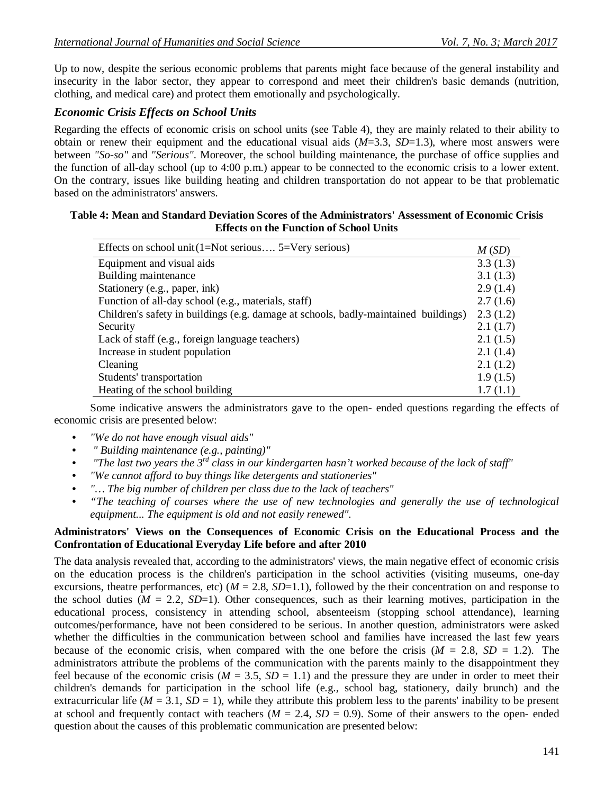Up to now, despite the serious economic problems that parents might face because of the general instability and insecurity in the labor sector, they appear to correspond and meet their children's basic demands (nutrition, clothing, and medical care) and protect them emotionally and psychologically.

## *Economic Crisis Effects on School Units*

Regarding the effects of economic crisis on school units (see Table 4), they are mainly related to their ability to obtain or renew their equipment and the educational visual aids (*M*=3.3, *SD*=1.3), where most answers were between *"So-so"* and *"Serious"*. Moreover, the school building maintenance, the purchase of office supplies and the function of all-day school (up to 4:00 p.m.) appear to be connected to the economic crisis to a lower extent. On the contrary, issues like building heating and children transportation do not appear to be that problematic based on the administrators' answers.

#### **Table 4: Mean and Standard Deviation Scores of the Administrators' Assessment of Economic Crisis Effects on the Function of School Units**

| Effects on school unit $(1=Not$ serious $5=Very$ serious)                           |          |  |
|-------------------------------------------------------------------------------------|----------|--|
| Equipment and visual aids                                                           | 3.3(1.3) |  |
| Building maintenance                                                                | 3.1(1.3) |  |
| Stationery (e.g., paper, ink)                                                       | 2.9(1.4) |  |
| Function of all-day school (e.g., materials, staff)                                 | 2.7(1.6) |  |
| Children's safety in buildings (e.g. damage at schools, badly-maintained buildings) |          |  |
| Security                                                                            |          |  |
| Lack of staff (e.g., foreign language teachers)                                     |          |  |
| Increase in student population                                                      |          |  |
| Cleaning                                                                            | 2.1(1.2) |  |
| Students' transportation                                                            | 1.9(1.5) |  |
| Heating of the school building                                                      | 1.7(1.1) |  |

Some indicative answers the administrators gave to the open- ended questions regarding the effects of economic crisis are presented below:

- *"We do not have enough visual aids"*
- *" Building maintenance (e.g., painting)"*
- *"The last two years the 3rd class in our kindergarten hasn't worked because of the lack of staff"*
- *"We cannot afford to buy things like detergents and stationeries"*
- *"… The big number of children per class due to the lack of teachers"*
- *"The teaching of courses where the use of new technologies and generally the use of technological equipment... The equipment is old and not easily renewed".*

## **Administrators' Views on the Consequences of Economic Crisis on the Educational Process and the Confrontation of Educational Everyday Life before and after 2010**

The data analysis revealed that, according to the administrators' views, the main negative effect of economic crisis on the education process is the children's participation in the school activities (visiting museums, one-day excursions, theatre performances, etc)  $(M = 2.8, SD=1.1)$ , followed by the their concentration on and response to the school duties  $(M = 2.2, SD=1)$ . Other consequences, such as their learning motives, participation in the educational process, consistency in attending school, absenteeism (stopping school attendance), learning outcomes/performance, have not been considered to be serious. In another question, administrators were asked whether the difficulties in the communication between school and families have increased the last few years because of the economic crisis, when compared with the one before the crisis  $(M = 2.8, SD = 1.2)$ . The administrators attribute the problems of the communication with the parents mainly to the disappointment they feel because of the economic crisis ( $M = 3.5$ ,  $SD = 1.1$ ) and the pressure they are under in order to meet their children's demands for participation in the school life (e.g., school bag, stationery, daily brunch) and the extracurricular life ( $M = 3.1$ ,  $SD = 1$ ), while they attribute this problem less to the parents' inability to be present at school and frequently contact with teachers  $(M = 2.4, SD = 0.9)$ . Some of their answers to the open-ended question about the causes of this problematic communication are presented below: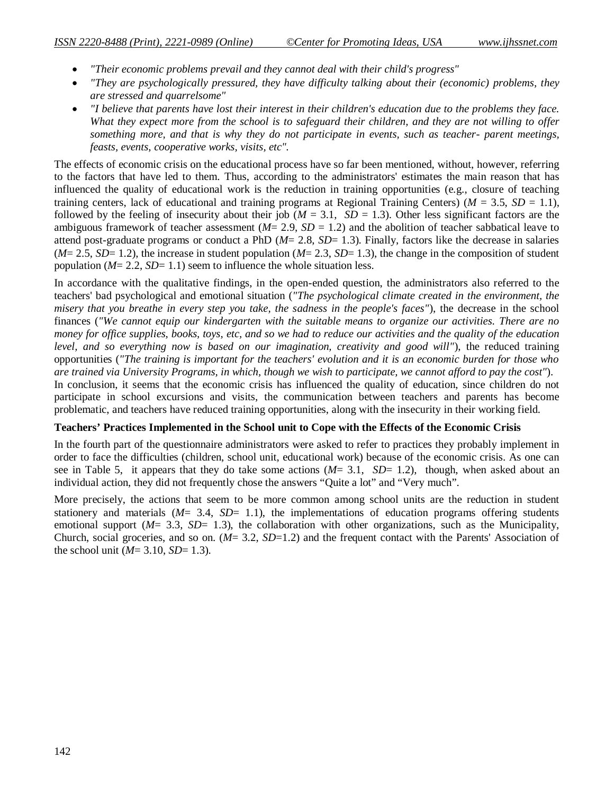- *"Their economic problems prevail and they cannot deal with their child's progress"*
- *"They are psychologically pressured, they have difficulty talking about their (economic) problems, they are stressed and quarrelsome"*
- *"I believe that parents have lost their interest in their children's education due to the problems they face. What they expect more from the school is to safeguard their children, and they are not willing to offer something more, and that is why they do not participate in events, such as teacher- parent meetings, feasts, events, cooperative works, visits, etc".*

The effects of economic crisis on the educational process have so far been mentioned, without, however, referring to the factors that have led to them. Thus, according to the administrators' estimates the main reason that has influenced the quality of educational work is the reduction in training opportunities (e.g., closure of teaching training centers, lack of educational and training programs at Regional Training Centers) ( $M = 3.5$ ,  $SD = 1.1$ ), followed by the feeling of insecurity about their job ( $M = 3.1$ ,  $SD = 1.3$ ). Other less significant factors are the ambiguous framework of teacher assessment (*M*= 2.9, *SD* = 1.2) and the abolition of teacher sabbatical leave to attend post-graduate programs or conduct a PhD (*M*= 2.8, *SD*= 1.3). Finally, factors like the decrease in salaries  $(M= 2.5, SD= 1.2)$ , the increase in student population  $(M= 2.3, SD= 1.3)$ , the change in the composition of student population  $(M= 2.2, SD= 1.1)$  seem to influence the whole situation less.

In accordance with the qualitative findings, in the open-ended question, the administrators also referred to the teachers' bad psychological and emotional situation (*"The psychological climate created in the environment, the misery that you breathe in every step you take, the sadness in the people's faces"*), the decrease in the school finances (*"We cannot equip our kindergarten with the suitable means to organize our activities. There are no money for office supplies, books, toys, etc, and so we had to reduce our activities and the quality of the education level, and so everything now is based on our imagination, creativity and good will"*), the reduced training opportunities (*"The training is important for the teachers' evolution and it is an economic burden for those who are trained via University Programs, in which, though we wish to participate, we cannot afford to pay the cost"*). In conclusion, it seems that the economic crisis has influenced the quality of education, since children do not participate in school excursions and visits, the communication between teachers and parents has become problematic, and teachers have reduced training opportunities, along with the insecurity in their working field.

#### **Teachers' Practices Implemented in the School unit to Cope with the Effects of the Economic Crisis**

In the fourth part of the questionnaire administrators were asked to refer to practices they probably implement in order to face the difficulties (children, school unit, educational work) because of the economic crisis. As one can see in Table 5, it appears that they do take some actions (*M*= 3.1, *SD*= 1.2), though, when asked about an individual action, they did not frequently chose the answers "Quite a lot" and "Very much".

More precisely, the actions that seem to be more common among school units are the reduction in student stationery and materials  $(M= 3.4, SD= 1.1)$ , the implementations of education programs offering students emotional support  $(M= 3.3, SD= 1.3)$ , the collaboration with other organizations, such as the Municipality, Church, social groceries, and so on. (*M*= 3.2, *SD*=1.2) and the frequent contact with the Parents' Association of the school unit ( $M = 3.10$ ,  $SD = 1.3$ ).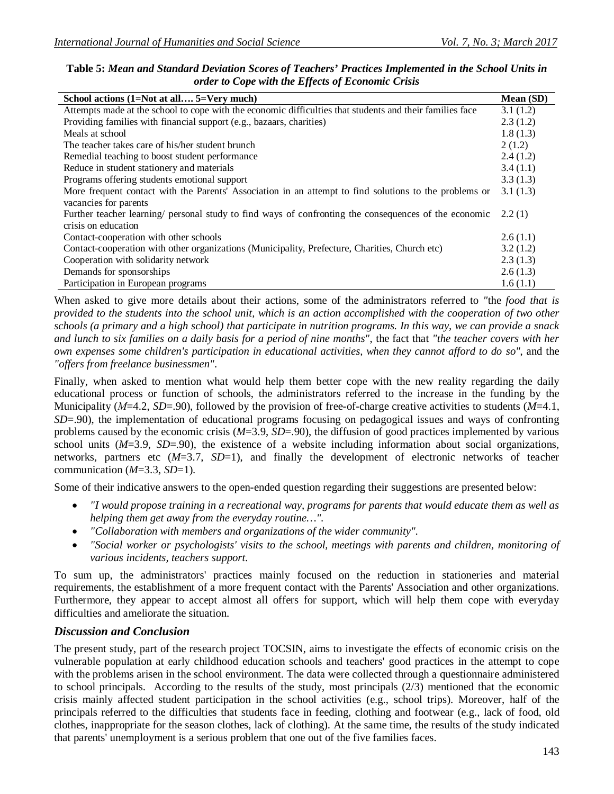| School actions (1=Not at all 5=Very much)                                                                |          |  |  |
|----------------------------------------------------------------------------------------------------------|----------|--|--|
| Attempts made at the school to cope with the economic difficulties that students and their families face | 3.1(1.2) |  |  |
| Providing families with financial support (e.g., bazaars, charities)                                     |          |  |  |
| Meals at school                                                                                          | 1.8(1.3) |  |  |
| The teacher takes care of his/her student brunch                                                         | 2(1.2)   |  |  |
| Remedial teaching to boost student performance                                                           | 2.4(1.2) |  |  |
| Reduce in student stationery and materials                                                               | 3.4(1.1) |  |  |
| Programs offering students emotional support                                                             |          |  |  |
| More frequent contact with the Parents' Association in an attempt to find solutions to the problems or   |          |  |  |
| vacancies for parents                                                                                    |          |  |  |
| Further teacher learning/ personal study to find ways of confronting the consequences of the economic    |          |  |  |
| crisis on education                                                                                      |          |  |  |
| Contact-cooperation with other schools                                                                   | 2.6(1.1) |  |  |
| Contact-cooperation with other organizations (Municipality, Prefecture, Charities, Church etc)           | 3.2(1.2) |  |  |
| Cooperation with solidarity network                                                                      |          |  |  |
| Demands for sponsorships                                                                                 |          |  |  |
| Participation in European programs                                                                       |          |  |  |

**Table 5:** *Mean and Standard Deviation Scores of Teachers' Practices Implemented in the School Units in order to Cope with the Effects of Economic Crisis*

When asked to give more details about their actions, some of the administrators referred to *"*the *food that is provided to the students into the school unit, which is an action accomplished with the cooperation of two other schools (a primary and a high school) that participate in nutrition programs. In this way, we can provide a snack and lunch to six families on a daily basis for a period of nine months"*, the fact that *"the teacher covers with her own expenses some children's participation in educational activities, when they cannot afford to do so"*, and the *"offers from freelance businessmen"*.

Finally, when asked to mention what would help them better cope with the new reality regarding the daily educational process or function of schools, the administrators referred to the increase in the funding by the Municipality (*Μ*=4.2, *SD*=.90), followed by the provision of free-of-charge creative activities to students (*M*=4.1, *SD*=.90), the implementation of educational programs focusing on pedagogical issues and ways of confronting problems caused by the economic crisis (*M*=3.9, *SD*=.90), the diffusion of good practices implemented by various school units (*M*=3.9, *SD*=.90), the existence of a website including information about social organizations, networks, partners etc (*M*=3.7, *SD*=1), and finally the development of electronic networks of teacher communication (*M*=3.3, *SD*=1).

Some of their indicative answers to the open-ended question regarding their suggestions are presented below:

- *"I would propose training in a recreational way, programs for parents that would educate them as well as helping them get away from the everyday routine…".*
- *"Collaboration with members and organizations of the wider community".*
- *"Social worker or psychologists' visits to the school, meetings with parents and children, monitoring of various incidents, teachers support.*

To sum up, the administrators' practices mainly focused on the reduction in stationeries and material requirements, the establishment of a more frequent contact with the Parents' Association and other organizations. Furthermore, they appear to accept almost all offers for support, which will help them cope with everyday difficulties and ameliorate the situation.

## *Discussion and Conclusion*

The present study, part of the research project TOCSIN, aims to investigate the effects of economic crisis on the vulnerable population at early childhood education schools and teachers' good practices in the attempt to cope with the problems arisen in the school environment. The data were collected through a questionnaire administered to school principals. According to the results of the study, most principals (2/3) mentioned that the economic crisis mainly affected student participation in the school activities (e.g., school trips). Moreover, half of the principals referred to the difficulties that students face in feeding, clothing and footwear (e.g., lack of food, old clothes, inappropriate for the season clothes, lack of clothing). At the same time, the results of the study indicated that parents' unemployment is a serious problem that one out of the five families faces.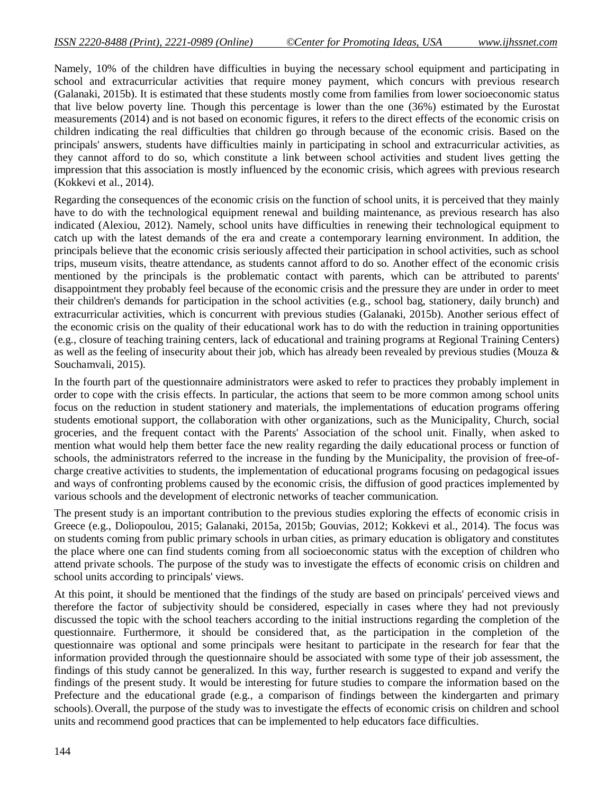Namely, 10% of the children have difficulties in buying the necessary school equipment and participating in school and extracurricular activities that require money payment, which concurs with previous research (Galanaki, 2015b). It is estimated that these students mostly come from families from lower socioeconomic status that live below poverty line. Though this percentage is lower than the one (36%) estimated by the Eurostat measurements (2014) and is not based on economic figures, it refers to the direct effects of the economic crisis on children indicating the real difficulties that children go through because of the economic crisis. Based on the principals' answers, students have difficulties mainly in participating in school and extracurricular activities, as they cannot afford to do so, which constitute a link between school activities and student lives getting the impression that this association is mostly influenced by the economic crisis, which agrees with previous research (Kokkevi et al., 2014).

Regarding the consequences of the economic crisis on the function of school units, it is perceived that they mainly have to do with the technological equipment renewal and building maintenance, as previous research has also indicated (Alexiou, 2012). Namely, school units have difficulties in renewing their technological equipment to catch up with the latest demands of the era and create a contemporary learning environment. In addition, the principals believe that the economic crisis seriously affected their participation in school activities, such as school trips, museum visits, theatre attendance, as students cannot afford to do so. Another effect of the economic crisis mentioned by the principals is the problematic contact with parents, which can be attributed to parents' disappointment they probably feel because of the economic crisis and the pressure they are under in order to meet their children's demands for participation in the school activities (e.g., school bag, stationery, daily brunch) and extracurricular activities, which is concurrent with previous studies (Galanaki, 2015b). Another serious effect of the economic crisis on the quality of their educational work has to do with the reduction in training opportunities (e.g., closure of teaching training centers, lack of educational and training programs at Regional Training Centers) as well as the feeling of insecurity about their job, which has already been revealed by previous studies (Mouza & Souchamvali, 2015).

In the fourth part of the questionnaire administrators were asked to refer to practices they probably implement in order to cope with the crisis effects. In particular, the actions that seem to be more common among school units focus on the reduction in student stationery and materials, the implementations of education programs offering students emotional support, the collaboration with other organizations, such as the Municipality, Church, social groceries, and the frequent contact with the Parents' Association of the school unit. Finally, when asked to mention what would help them better face the new reality regarding the daily educational process or function of schools, the administrators referred to the increase in the funding by the Municipality, the provision of free-ofcharge creative activities to students, the implementation of educational programs focusing on pedagogical issues and ways of confronting problems caused by the economic crisis, the diffusion of good practices implemented by various schools and the development of electronic networks of teacher communication.

The present study is an important contribution to the previous studies exploring the effects of economic crisis in Greece (e.g., Doliopoulou, 2015; Galanaki, 2015a, 2015b; Gouvias, 2012; Kokkevi et al., 2014). The focus was on students coming from public primary schools in urban cities, as primary education is obligatory and constitutes the place where one can find students coming from all socioeconomic status with the exception of children who attend private schools. The purpose of the study was to investigate the effects of economic crisis on children and school units according to principals' views.

At this point, it should be mentioned that the findings of the study are based on principals' perceived views and therefore the factor of subjectivity should be considered, especially in cases where they had not previously discussed the topic with the school teachers according to the initial instructions regarding the completion of the questionnaire. Furthermore, it should be considered that, as the participation in the completion of the questionnaire was optional and some principals were hesitant to participate in the research for fear that the information provided through the questionnaire should be associated with some type of their job assessment, the findings of this study cannot be generalized. In this way, further research is suggested to expand and verify the findings of the present study. It would be interesting for future studies to compare the information based on the Prefecture and the educational grade (e.g., a comparison of findings between the kindergarten and primary schools).Overall, the purpose of the study was to investigate the effects of economic crisis on children and school units and recommend good practices that can be implemented to help educators face difficulties.